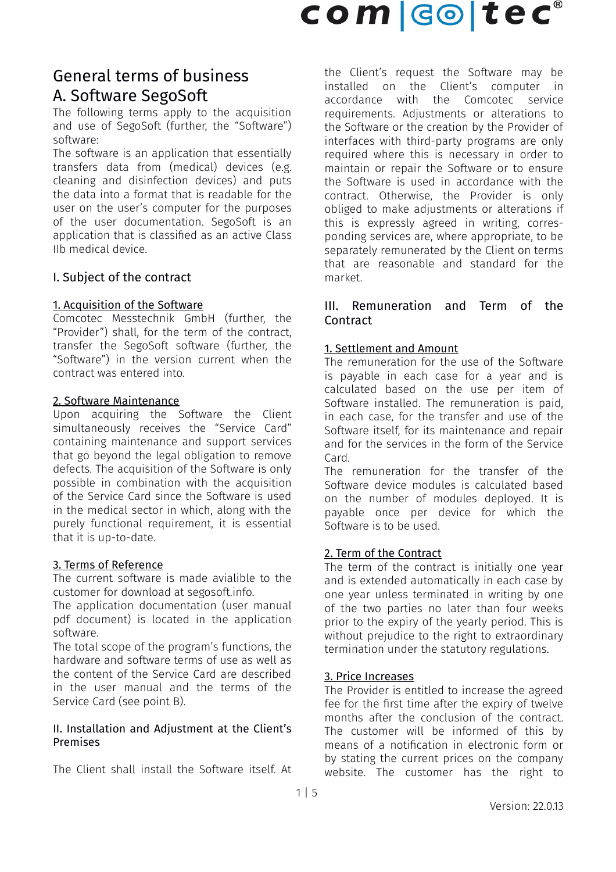# General terms of business A. Software SegoSoft

The following terms apply to the acquisition and use of SegoSoft (further, the "Software") software:

The software is an application that essentially transfers data from (medical) devices (e.g. cleaning and disinfection devices) and puts the data into a format that is readable for the user on the user's computer for the purposes of the user documentation. SegoSoft is an application that is classified as an active Class IIb medical device.

# I. Subject of the contract

#### 1. Acquisition of the Software

Comcotec Messtechnik GmbH (further, the "Provider") shall, for the term of the contract, transfer the SegoSoft software (further, the "Software") in the version current when the contract was entered into.

#### 2. Software Maintenance

Upon acquiring the Software the Client simultaneously receives the "Service Card" containing maintenance and support services that go beyond the legal obligation to remove defects. The acquisition of the Software is only possible in combination with the acquisition of the Service Card since the Software is used in the medical sector in which, along with the purely functional requirement, it is essential that it is up-to-date.

#### 3. Terms of Reference

The current software is made avialible to the customer for download at segosoft.info.

The application documentation (user manual pdf document) is located in the application software.

The total scope of the program's functions, the hardware and software terms of use as well as the content of the Service Card are described in the user manual and the terms of the Service Card (see point B).

#### II. Installation and Adjustment at the Client's Premises

The Client shall install the Software itself. At

the Client's request the Software may be installed on the Client's computer in accordance with the Comcotec service requirements. Adjustments or alterations to the Software or the creation by the Provider of interfaces with third-party programs are only required where this is necessary in order to maintain or repair the Software or to ensure the Software is used in accordance with the contract. Otherwise, the Provider is only obliged to make adjustments or alterations if this is expressly agreed in writing, corresponding services are, where appropriate, to be separately remunerated by the Client on terms that are reasonable and standard for the market.

### III. Remuneration and Term of the **Contract**

#### 1. Settlement and Amount

The remuneration for the use of the Software is payable in each case for a year and is calculated based on the use per item of Software installed. The remuneration is paid, in each case, for the transfer and use of the Software itself, for its maintenance and repair and for the services in the form of the Service Card.

The remuneration for the transfer of the Software device modules is calculated based on the number of modules deployed. It is payable once per device for which the Software is to be used.

## 2. Term of the Contract

The term of the contract is initially one year and is extended automatically in each case by one year unless terminated in writing by one of the two parties no later than four weeks prior to the expiry of the yearly period. This is without prejudice to the right to extraordinary termination under the statutory regulations.

#### 3. Price Increases

The Provider is entitled to increase the agreed fee for the first time after the expiry of twelve months after the conclusion of the contract. The customer will be informed of this by means of a notification in electronic form or by stating the current prices on the company website. The customer has the right to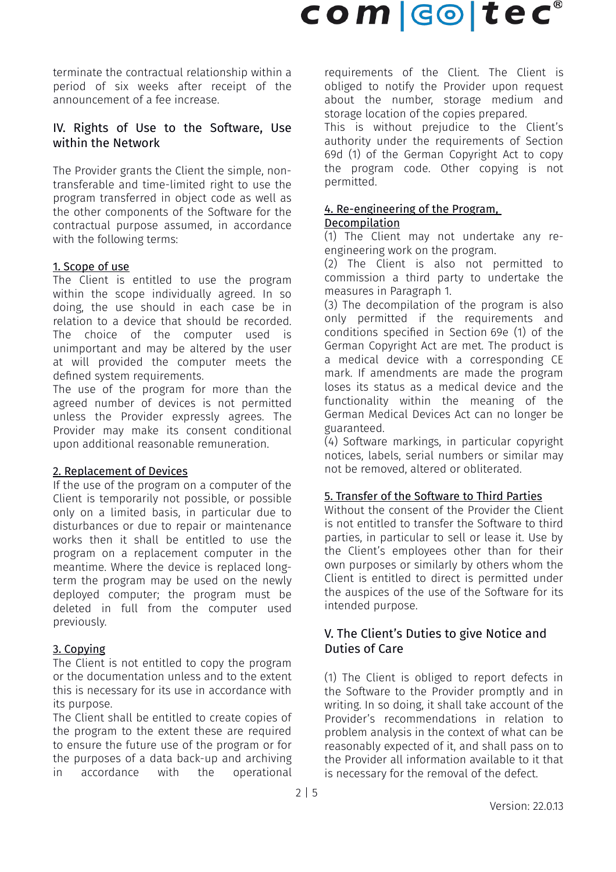# $com$   $col$   $te$  $c^{\circ}$

terminate the contractual relationship within a period of six weeks after receipt of the announcement of a fee increase.

## IV. Rights of Use to the Software, Use within the Network

The Provider grants the Client the simple, nontransferable and time-limited right to use the program transferred in object code as well as the other components of the Software for the contractual purpose assumed, in accordance with the following terms:

#### 1. Scope of use

The Client is entitled to use the program within the scope individually agreed. In so doing, the use should in each case be in relation to a device that should be recorded. The choice of the computer used is unimportant and may be altered by the user at will provided the computer meets the defined system requirements.

The use of the program for more than the agreed number of devices is not permitted unless the Provider expressly agrees. The Provider may make its consent conditional upon additional reasonable remuneration.

#### 2. Replacement of Devices

If the use of the program on a computer of the Client is temporarily not possible, or possible only on a limited basis, in particular due to disturbances or due to repair or maintenance works then it shall be entitled to use the program on a replacement computer in the meantime. Where the device is replaced longterm the program may be used on the newly deployed computer; the program must be deleted in full from the computer used previously.

## 3. Copying

The Client is not entitled to copy the program or the documentation unless and to the extent this is necessary for its use in accordance with its purpose.

The Client shall be entitled to create copies of the program to the extent these are required to ensure the future use of the program or for the purposes of a data back-up and archiving in accordance with the operational requirements of the Client. The Client is obliged to notify the Provider upon request about the number, storage medium and storage location of the copies prepared.

This is without prejudice to the Client's authority under the requirements of Section 69d (1) of the German Copyright Act to copy the program code. Other copying is not permitted.

# 4. Re-engineering of the Program,

# Decompilation

(1) The Client may not undertake any reengineering work on the program.

(2) The Client is also not permitted to commission a third party to undertake the measures in Paragraph 1.

(3) The decompilation of the program is also only permitted if the requirements and conditions specified in Section 69e (1) of the German Copyright Act are met. The product is a medical device with a corresponding CE mark. If amendments are made the program loses its status as a medical device and the functionality within the meaning of the German Medical Devices Act can no longer be guaranteed.

(4) Software markings, in particular copyright notices, labels, serial numbers or similar may not be removed, altered or obliterated.

## 5. Transfer of the Software to Third Parties

Without the consent of the Provider the Client is not entitled to transfer the Software to third parties, in particular to sell or lease it. Use by the Client's employees other than for their own purposes or similarly by others whom the Client is entitled to direct is permitted under the auspices of the use of the Software for its intended purpose.

## V. The Client's Duties to give Notice and Duties of Care

(1) The Client is obliged to report defects in the Software to the Provider promptly and in writing. In so doing, it shall take account of the Provider's recommendations in relation to problem analysis in the context of what can be reasonably expected of it, and shall pass on to the Provider all information available to it that is necessary for the removal of the defect.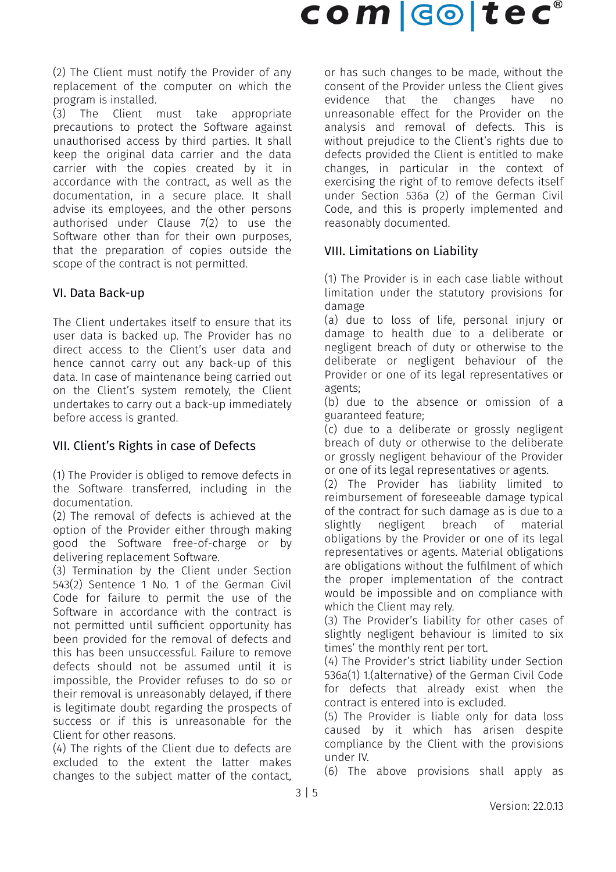(2) The Client must notify the Provider of any replacement of the computer on which the program is installed.

(3) The Client must take appropriate precautions to protect the Software against unauthorised access by third parties. It shall keep the original data carrier and the data carrier with the copies created by it in accordance with the contract, as well as the documentation, in a secure place. It shall advise its employees, and the other persons authorised under Clause 7(2) to use the Software other than for their own purposes. that the preparation of copies outside the scope of the contract is not permitted.

# VI. Data Back-up

The Client undertakes itself to ensure that its user data is backed up. The Provider has no direct access to the Client's user data and hence cannot carry out any back-up of this data. In case of maintenance being carried out on the Client's system remotely, the Client undertakes to carry out a back-up immediately before access is granted.

# VII. Client's Rights in case of Defects

(1) The Provider is obliged to remove defects in the Software transferred, including in the documentation.

(2) The removal of defects is achieved at the option of the Provider either through making good the Software free-of-charge or by delivering replacement Software.

(3) Termination by the Client under Section 543(2) Sentence 1 No. 1 of the German Civil Code for failure to permit the use of the Software in accordance with the contract is not permitted until sufficient opportunity has been provided for the removal of defects and this has been unsuccessful. Failure to remove defects should not be assumed until it is impossible, the Provider refuses to do so or their removal is unreasonably delayed, if there is legitimate doubt regarding the prospects of success or if this is unreasonable for the Client for other reasons.

(4) The rights of the Client due to defects are excluded to the extent the latter makes changes to the subject matter of the contact,

or has such changes to be made, without the consent of the Provider unless the Client gives evidence that the changes have no unreasonable effect for the Provider on the analysis and removal of defects. This is without prejudice to the Client's rights due to defects provided the Client is entitled to make changes, in particular in the context of exercising the right of to remove defects itself under Section 536a (2) of the German Civil Code, and this is properly implemented and reasonably documented.

# VIII. Limitations on Liability

(1) The Provider is in each case liable without limitation under the statutory provisions for damage

(a) due to loss of life, personal injury or damage to health due to a deliberate or negligent breach of duty or otherwise to the deliberate or negligent behaviour of the Provider or one of its legal representatives or agents;

(b) due to the absence or omission of a guaranteed feature;

(c) due to a deliberate or grossly negligent breach of duty or otherwise to the deliberate or grossly negligent behaviour of the Provider or one of its legal representatives or agents.

(2) The Provider has liability limited to reimbursement of foreseeable damage typical of the contract for such damage as is due to a slightly negligent breach of material obligations by the Provider or one of its legal representatives or agents. Material obligations are obligations without the fulfilment of which the proper implementation of the contract would be impossible and on compliance with which the Client may rely.

(3) The Provider's liability for other cases of slightly negligent behaviour is limited to six times' the monthly rent per tort.

(4) The Provider's strict liability under Section 536a(1) 1.(alternative) of the German Civil Code for defects that already exist when the contract is entered into is excluded.

(5) The Provider is liable only for data loss caused by it which has arisen despite compliance by the Client with the provisions under IV.

(6) The above provisions shall apply as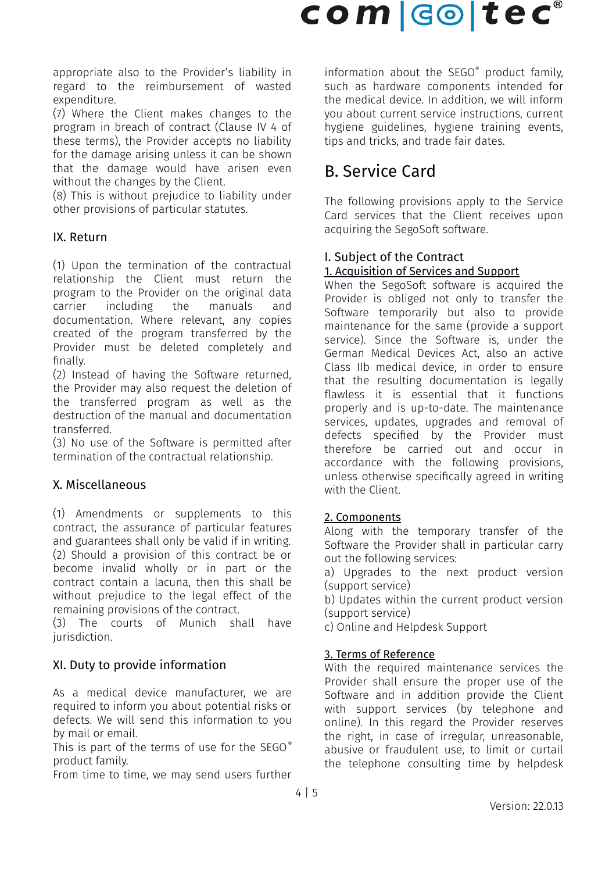appropriate also to the Provider's liability in regard to the reimbursement of wasted expenditure.

(7) Where the Client makes changes to the program in breach of contract (Clause IV 4 of these terms), the Provider accepts no liability for the damage arising unless it can be shown that the damage would have arisen even without the changes by the Client.

(8) This is without prejudice to liability under other provisions of particular statutes.

# IX. Return

(1) Upon the termination of the contractual relationship the Client must return the program to the Provider on the original data carrier including the manuals and documentation. Where relevant, any copies created of the program transferred by the Provider must be deleted completely and finally.

(2) Instead of having the Software returned, the Provider may also request the deletion of the transferred program as well as the destruction of the manual and documentation transferred.

(3) No use of the Software is permitted after termination of the contractual relationship.

# X. Miscellaneous

(1) Amendments or supplements to this contract, the assurance of particular features and guarantees shall only be valid if in writing. (2) Should a provision of this contract be or become invalid wholly or in part or the contract contain a lacuna, then this shall be without prejudice to the legal effect of the remaining provisions of the contract.

(3) The courts of Munich shall have jurisdiction.

# XI. Duty to provide information

As a medical device manufacturer, we are required to inform you about potential risks or defects. We will send this information to you by mail or email.

This is part of the terms of use for the SEGO® product family.

From time to time, we may send users further

information about the SEGO® product family, such as hardware components intended for the medical device. In addition, we will inform you about current service instructions, current hygiene guidelines, hygiene training events, tips and tricks, and trade fair dates.

# B. Service Card

The following provisions apply to the Service Card services that the Client receives upon acquiring the SegoSoft software.

#### I. Subject of the Contract 1. Acquisition of Services and Support

When the SegoSoft software is acquired the Provider is obliged not only to transfer the Software temporarily but also to provide maintenance for the same (provide a support service). Since the Software is, under the German Medical Devices Act, also an active Class IIb medical device, in order to ensure that the resulting documentation is legally flawless it is essential that it functions properly and is up-to-date. The maintenance services, updates, upgrades and removal of defects specified by the Provider must therefore be carried out and occur in accordance with the following provisions, unless otherwise specifically agreed in writing with the Client.

## 2. Components

Along with the temporary transfer of the Software the Provider shall in particular carry out the following services:

a) Upgrades to the next product version (support service)

b) Updates within the current product version (support service)

c) Online and Helpdesk Support

# 3. Terms of Reference

With the required maintenance services the Provider shall ensure the proper use of the Software and in addition provide the Client with support services (by telephone and online). In this regard the Provider reserves the right, in case of irregular, unreasonable, abusive or fraudulent use, to limit or curtail the telephone consulting time by helpdesk